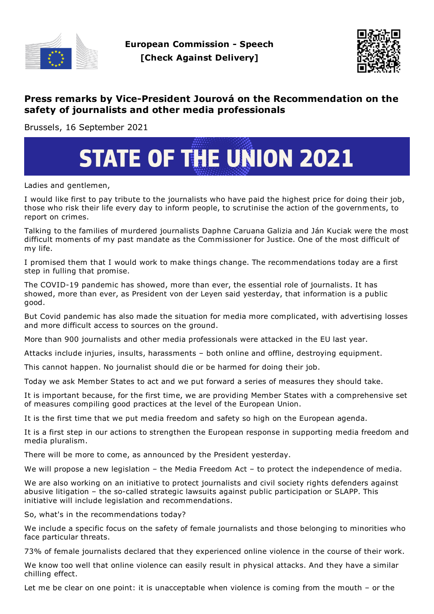



## **Press remarks by Vice-President Jourová on the Recommendation on the safety of journalists and other media professionals**

Brussels, 16 September 2021

## **STATE OF THE UNION 2021**

Ladies and gentlemen,

I would like first to pay tribute to the journalists who have paid the highest price for doing their job, those who risk their life every day to inform people, to scrutinise the action of the governments, to report on crimes.

Talking to the families of murdered journalists Daphne Caruana Galizia and Ján Kuciak were the most difficult moments of my past mandate as the Commissioner for Justice. One of the most difficult of my life.

I promised them that I would work to make things change. The recommendations today are a first step in fulling that promise.

The COVID-19 pandemic has showed, more than ever, the essential role of journalists. It has showed, more than ever, as President von der Leyen said yesterday, that information is a public good.

But Covid pandemic has also made the situation for media more complicated, with advertising losses and more difficult access to sources on the ground.

More than 900 journalists and other media professionals were attacked in the EU last year.

Attacks include injuries, insults, harassments – both online and offline, destroying equipment.

This cannot happen. No journalist should die or be harmed for doing their job.

Today we ask Member States to act and we put forward a series of measures they should take.

It is important because, for the first time, we are providing Member States with a comprehensive set of measures compiling good practices at the level of the European Union.

It is the first time that we put media freedom and safety so high on the European agenda.

It is a first step in our actions to strengthen the European response in supporting media freedom and media pluralism.

There will be more to come, as announced by the President yesterday.

We will propose a new legislation – the Media Freedom Act – to protect the independence of media.

We are also working on an initiative to protect journalists and civil society rights defenders against abusive litigation – the so-called strategic lawsuits against public participation or SLAPP. This initiative will include legislation and recommendations.

So, what's in the recommendations today?

We include a specific focus on the safety of female journalists and those belonging to minorities who face particular threats.

73% of female journalists declared that they experienced online violence in the course of their work.

We know too well that online violence can easily result in physical attacks. And they have a similar chilling effect.

Let me be clear on one point: it is unacceptable when violence is coming from the mouth – or the